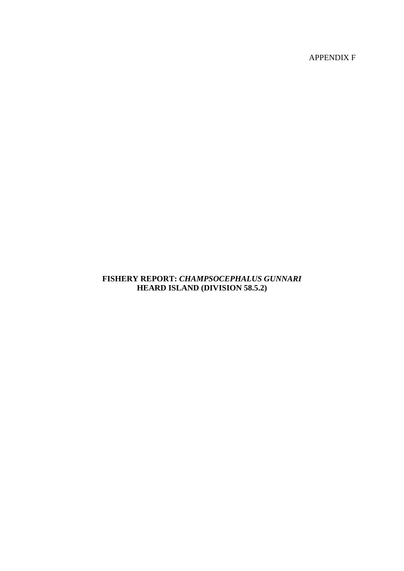APPENDIX F

# **FISHERY REPORT:** *CHAMPSOCEPHALUS GUNNARI*  **HEARD ISLAND (DIVISION 58.5.2)**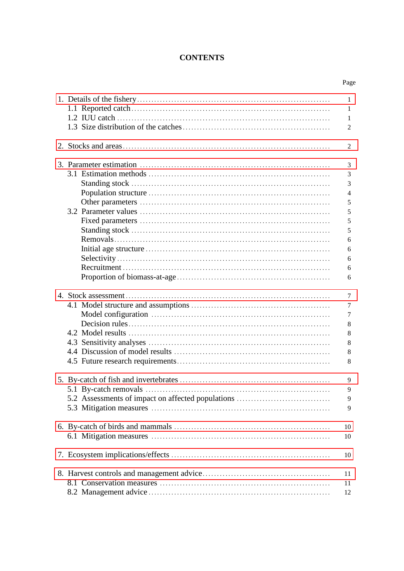# **CONTENTS**

|                                                   | Page                                                                                   |
|---------------------------------------------------|----------------------------------------------------------------------------------------|
|                                                   | 1<br>1<br>1<br>$\overline{2}$                                                          |
|                                                   | 2                                                                                      |
|                                                   | 3<br>3<br>3<br>$\overline{4}$<br>5<br>$\mathfrak s$<br>5<br>5<br>6<br>6<br>6<br>6<br>6 |
|                                                   | 7<br>7<br>7<br>8<br>8<br>8<br>8<br>8                                                   |
| 5.2 Assessments of impact on affected populations | 9<br>9<br>9<br>9                                                                       |
|                                                   | 10<br>10                                                                               |
|                                                   | 10                                                                                     |
|                                                   | 11<br>11<br>12                                                                         |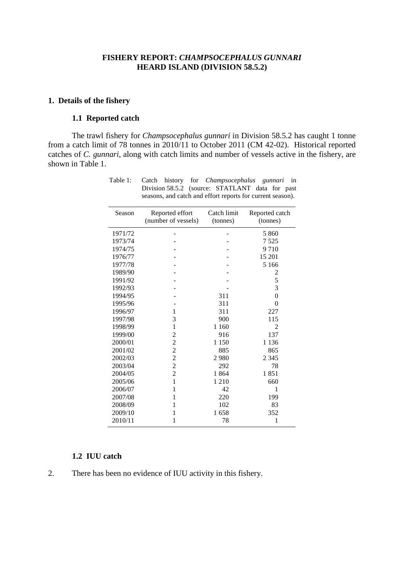#### **FISHERY REPORT:** *CHAMPSOCEPHALUS GUNNARI* **HEARD ISLAND (DIVISION 58.5.2)**

#### <span id="page-2-0"></span>**1. Details of the fishery**

### **1.1 Reported catch**

The trawl fishery for *Champsocephalus gunnari* in Division 58.5.2 has caught 1 tonne from a catch limit of 78 tonnes in 2010/11 to October 2011 (CM 42-02). Historical reported catches of *C. gunnari*, along with catch limits and number of vessels active in the fishery, are shown in Table 1.

| Season  | Reported effort     | Catch limit | Reported catch |
|---------|---------------------|-------------|----------------|
|         | (number of vessels) | (tonnes)    | (tonnes)       |
|         |                     |             |                |
| 1971/72 |                     |             | 5 8 6 0        |
| 1973/74 |                     |             | 7 5 2 5        |
| 1974/75 |                     |             | 9710           |
| 1976/77 |                     |             | 15 201         |
| 1977/78 |                     |             | 5 1 6 6        |
| 1989/90 |                     |             | 2              |
| 1991/92 |                     |             | 5              |
| 1992/93 |                     |             | 3              |
| 1994/95 |                     | 311         | $\theta$       |
| 1995/96 |                     | 311         | $\theta$       |
| 1996/97 | 1                   | 311         | 227            |
| 1997/98 | 3                   | 900         | 115            |
| 1998/99 | 1                   | 1 1 6 0     | $\overline{c}$ |
| 1999/00 | $\overline{c}$      | 916         | 137            |
| 2000/01 | $\overline{c}$      | 1 1 5 0     | 1 1 3 6        |
| 2001/02 | $\overline{c}$      | 885         | 865            |
| 2002/03 | $\overline{c}$      | 2980        | 2 3 4 5        |
| 2003/04 | $\overline{c}$      | 292         | 78             |
| 2004/05 | $\overline{2}$      | 1864        | 1851           |
| 2005/06 | $\mathbf{1}$        | 1 2 1 0     | 660            |
| 2006/07 | 1                   | 42          | 1              |
| 2007/08 | 1                   | 220         | 199            |
| 2008/09 | 1                   | 102         | 83             |
| 2009/10 | 1                   | 1658        | 352            |
| 2010/11 | 1                   | 78          | 1              |

Table 1: Catch history for *Champsocephalus gunnari* in Division 58.5.2 (source: STATLANT data for past seasons, and catch and effort reports for current season).

### **1.2 IUU catch**

2. There has been no evidence of IUU activity in this fishery.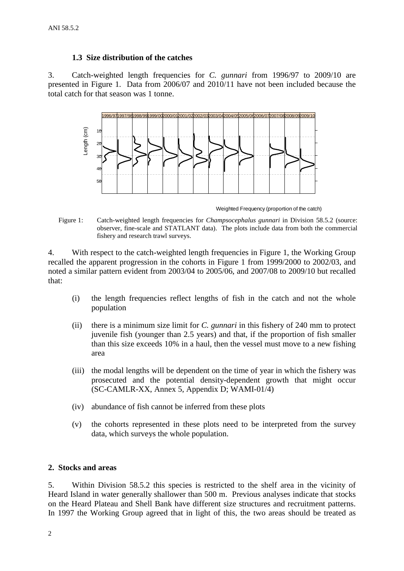### **1.3 Size distribution of the catches**

<span id="page-3-0"></span>3. Catch-weighted length frequencies for *C. gunnari* from 1996/97 to 2009/10 are presented in Figure 1. Data from 2006/07 and 2010/11 have not been included because the total catch for that season was 1 tonne.



Weighted Frequency (proportion of the catch)

Figure 1: Catch-weighted length frequencies for *Champsocephalus gunnari* in Division 58.5.2 (source: observer, fine-scale and STATLANT data). The plots include data from both the commercial fishery and research trawl surveys.

4. With respect to the catch-weighted length frequencies in Figure 1, the Working Group recalled the apparent progression in the cohorts in Figure 1 from 1999/2000 to 2002/03, and noted a similar pattern evident from 2003/04 to 2005/06, and 2007/08 to 2009/10 but recalled that:

- (i) the length frequencies reflect lengths of fish in the catch and not the whole population
- (ii) there is a minimum size limit for *C. gunnari* in this fishery of 240 mm to protect juvenile fish (younger than 2.5 years) and that, if the proportion of fish smaller than this size exceeds 10% in a haul, then the vessel must move to a new fishing area
- (iii) the modal lengths will be dependent on the time of year in which the fishery was prosecuted and the potential density-dependent growth that might occur (SC-CAMLR-XX, Annex 5, Appendix D; WAMI-01/4)
- (iv) abundance of fish cannot be inferred from these plots
- (v) the cohorts represented in these plots need to be interpreted from the survey data, which surveys the whole population.

#### **2. Stocks and areas**

5. Within Division 58.5.2 this species is restricted to the shelf area in the vicinity of Heard Island in water generally shallower than 500 m. Previous analyses indicate that stocks on the Heard Plateau and Shell Bank have different size structures and recruitment patterns. In 1997 the Working Group agreed that in light of this, the two areas should be treated as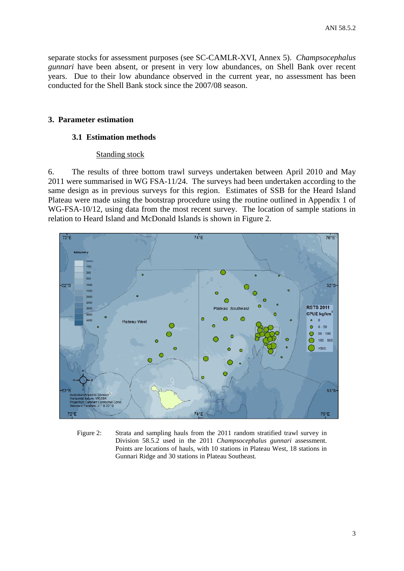<span id="page-4-0"></span>separate stocks for assessment purposes (see SC-CAMLR-XVI, Annex 5). *Champsocephalus gunnari* have been absent, or present in very low abundances, on Shell Bank over recent years. Due to their low abundance observed in the current year, no assessment has been conducted for the Shell Bank stock since the 2007/08 season.

#### **3. Parameter estimation**

#### **3.1 Estimation methods**

#### Standing stock

6. The results of three bottom trawl surveys undertaken between April 2010 and May 2011 were summarised in WG FSA-11/24. The surveys had been undertaken according to the same design as in previous surveys for this region. Estimates of SSB for the Heard Island Plateau were made using the bootstrap procedure using the routine outlined in Appendix 1 of WG-FSA-10/12, using data from the most recent survey. The location of sample stations in relation to Heard Island and McDonald Islands is shown in Figure 2.



Figure 2: Strata and sampling hauls from the 2011 random stratified trawl survey in Division 58.5.2 used in the 2011 *Champsocephalus gunnari* assessment. Points are locations of hauls, with 10 stations in Plateau West, 18 stations in Gunnari Ridge and 30 stations in Plateau Southeast*.*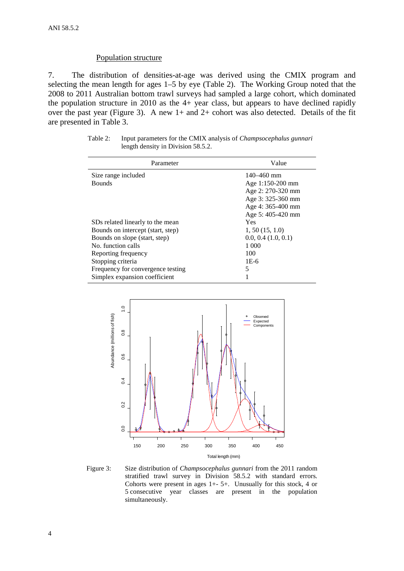### Population structure

7. The distribution of densities-at-age was derived using the CMIX program and selecting the mean length for ages 1–5 by eye (Table 2). The Working Group noted that the 2008 to 2011 Australian bottom trawl surveys had sampled a large cohort, which dominated the population structure in 2010 as the 4+ year class, but appears to have declined rapidly over the past year (Figure 3). A new 1+ and 2+ cohort was also detected. Details of the fit are presented in Table 3.

| Table 2: | Input parameters for the CMIX analysis of <i>Champsocephalus gunnari</i> |
|----------|--------------------------------------------------------------------------|
|          | length density in Division 58.5.2.                                       |

| Parameter                         | Value                   |
|-----------------------------------|-------------------------|
| Size range included               | $140 - 460$ mm          |
| <b>Bounds</b>                     | Age 1:150-200 mm        |
|                                   | Age 2: 270-320 mm       |
|                                   | Age 3: 325-360 mm       |
|                                   | Age 4: 365-400 mm       |
|                                   | Age 5: 405-420 mm       |
| SDs related linearly to the mean  | Yes                     |
| Bounds on intercept (start, step) | 1, 50(15, 1.0)          |
| Bounds on slope (start, step)     | $0.0, 0.4$ $(1.0, 0.1)$ |
| No. function calls                | 1 000                   |
| Reporting frequency               | 100                     |
| Stopping criteria                 | $1E-6$                  |
| Frequency for convergence testing | 5                       |
| Simplex expansion coefficient     | 1                       |



Figure 3: Size distribution of *Champsocephalus gunnari* from the 2011 random stratified trawl survey in Division 58.5.2 with standard errors. Cohorts were present in ages 1+- 5+. Unusually for this stock, 4 or 5 consecutive year classes are present in the population simultaneously.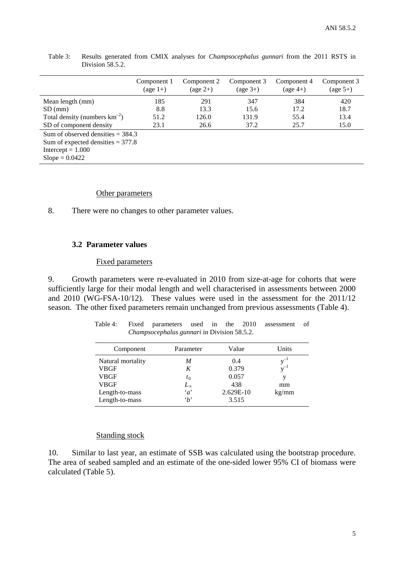|                                     | Component 1<br>$(\text{age } 1+)$ | Component 2<br>$(\text{age } 2+)$ | Component 3<br>$(\text{age } 3+)$ | Component 4<br>$(\text{age }4+)$ | Component 3<br>$(\text{age } 5+)$ |
|-------------------------------------|-----------------------------------|-----------------------------------|-----------------------------------|----------------------------------|-----------------------------------|
| Mean length (mm)                    | 185                               | 291                               | 347                               | 384                              | 420                               |
| $SD$ (mm)                           | 8.8                               | 13.3                              | 15.6                              | 17.2                             | 18.7                              |
| Total density (numbers $km^{-2}$ )  | 51.2                              | 126.0                             | 131.9                             | 55.4                             | 13.4                              |
| SD of component density             | 23.1                              | 26.6                              | 37.2                              | 25.7                             | 15.0                              |
| Sum of observed densities $=$ 384.3 |                                   |                                   |                                   |                                  |                                   |
| Sum of expected densities $=$ 377.8 |                                   |                                   |                                   |                                  |                                   |
| Intercept = $1.000$                 |                                   |                                   |                                   |                                  |                                   |
| $Slope = 0.0422$                    |                                   |                                   |                                   |                                  |                                   |

Table 3: Results generated from CMIX analyses for *Champsocephalus gunnari* from the 2011 RSTS in Division 58.5.2.

#### Other parameters

8. There were no changes to other parameter values.

#### **3.2 Parameter values**

#### Fixed parameters

9. Growth parameters were re-evaluated in 2010 from size-at-age for cohorts that were sufficiently large for their modal length and well characterised in assessments between 2000 and 2010 (WG-FSA-10/12). These values were used in the assessment for the 2011/12 season. The other fixed parameters remain unchanged from previous assessments (Table 4).

|  |                                                    |  |  | Table 4: Fixed parameters used in the 2010 assessment of |  |
|--|----------------------------------------------------|--|--|----------------------------------------------------------|--|
|  | <i>Champsocephalus gunnari</i> in Division 58.5.2. |  |  |                                                          |  |

| Component         | Parameter    | Value     | Units    |
|-------------------|--------------|-----------|----------|
| Natural mortality | M            | 0.4       | $v^{-1}$ |
| VBGF              | K            | 0.379     | $v^{-1}$ |
| VBGF              | $t_0$        | 0.057     | V        |
| VBGF              | $L_{\infty}$ | 438       | mm       |
| Length-to-mass    | $\alpha$     | 2.629E-10 | kg/mm    |
| Length-to-mass    | $\cdot_b$    | 3.515     |          |

#### Standing stock

10. Similar to last year, an estimate of SSB was calculated using the bootstrap procedure. The area of seabed sampled and an estimate of the one-sided lower 95% CI of biomass were calculated (Table 5).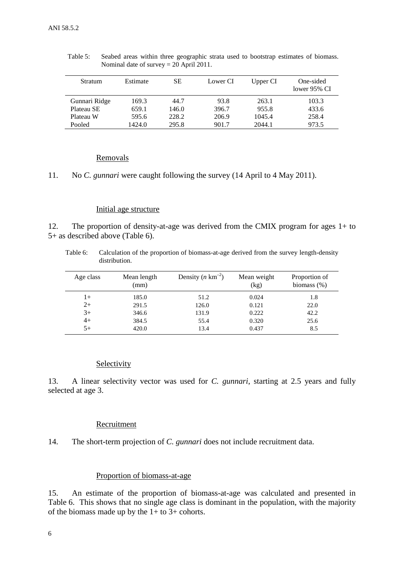| <b>Stratum</b> | Estimate | <b>SE</b> | Lower CI | Upper CI | One-sided<br>lower 95% CI |
|----------------|----------|-----------|----------|----------|---------------------------|
| Gunnari Ridge  | 169.3    | 44.7      | 93.8     | 263.1    | 103.3                     |
| Plateau SE     | 659.1    | 146.0     | 396.7    | 955.8    | 433.6                     |
| Plateau W      | 595.6    | 228.2     | 206.9    | 1045.4   | 258.4                     |
| Pooled         | 1424.0   | 295.8     | 901.7    | 2044.1   | 973.5                     |

Table 5: Seabed areas within three geographic strata used to bootstrap estimates of biomass. Nominal date of survey = 20 April 2011.

#### Removals

11. No *C. gunnari* were caught following the survey (14 April to 4 May 2011).

#### Initial age structure

12. The proportion of density-at-age was derived from the CMIX program for ages 1+ to 5+ as described above (Table 6).

Table 6: Calculation of the proportion of biomass-at-age derived from the survey length-density distribution.

| Age class | Mean length<br>(mm) | Density $(n \text{ km}^{-2})$ | Mean weight<br>(kg) | Proportion of<br>biomass $(\%)$ |
|-----------|---------------------|-------------------------------|---------------------|---------------------------------|
| l+        | 185.0               | 51.2                          | 0.024               | 1.8                             |
| $2+$      | 291.5               | 126.0                         | 0.121               | 22.0                            |
| $3+$      | 346.6               | 131.9                         | 0.222               | 42.2                            |
| $4+$      | 384.5               | 55.4                          | 0.320               | 25.6                            |
| $5+$      | 420.0               | 13.4                          | 0.437               | 8.5                             |

#### Selectivity

13. A linear selectivity vector was used for *C. gunnari*, starting at 2.5 years and fully selected at age 3.

#### **Recruitment**

14. The short-term projection of *C. gunnari* does not include recruitment data.

#### Proportion of biomass-at-age

15. An estimate of the proportion of biomass-at-age was calculated and presented in Table 6. This shows that no single age class is dominant in the population, with the majority of the biomass made up by the  $1+$  to  $3+$  cohorts.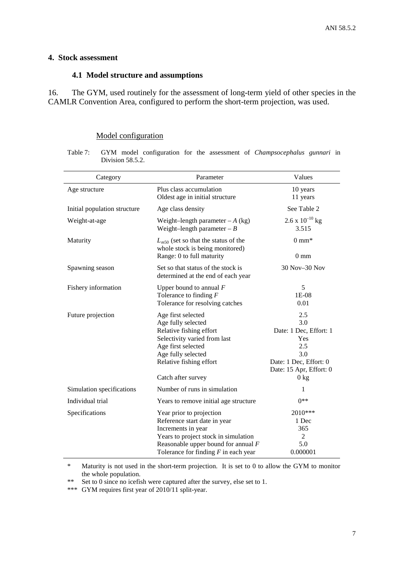### <span id="page-8-0"></span>**4. Stock assessment**

#### **4.1 Model structure and assumptions**

16. The GYM, used routinely for the assessment of long-term yield of other species in the CAMLR Convention Area, configured to perform the short-term projection, was used.

### Model configuration

Table 7: GYM model configuration for the assessment of *Champsocephalus gunnari* in Division 58.5.2.

| Category                     | Parameter                                                                                                                                                                                                 | Values                                                                                                                           |
|------------------------------|-----------------------------------------------------------------------------------------------------------------------------------------------------------------------------------------------------------|----------------------------------------------------------------------------------------------------------------------------------|
| Age structure                | Plus class accumulation<br>Oldest age in initial structure                                                                                                                                                | 10 years<br>11 years                                                                                                             |
| Initial population structure | Age class density                                                                                                                                                                                         | See Table 2                                                                                                                      |
| Weight-at-age                | Weight-length parameter $-A$ (kg)<br>Weight-length parameter $-B$                                                                                                                                         | $2.6 \times 10^{-10}$ kg<br>3.515                                                                                                |
| Maturity                     | $L_{m50}$ (set so that the status of the<br>whole stock is being monitored)<br>Range: 0 to full maturity                                                                                                  | $0 \text{ mm}^*$<br>$0 \text{ mm}$                                                                                               |
| Spawning season              | Set so that status of the stock is<br>determined at the end of each year                                                                                                                                  | 30 Nov-30 Nov                                                                                                                    |
| Fishery information          | Upper bound to annual $F$<br>Tolerance to finding $F$<br>Tolerance for resolving catches                                                                                                                  | 5<br>1E-08<br>0.01                                                                                                               |
| Future projection            | Age first selected<br>Age fully selected<br>Relative fishing effort<br>Selectivity varied from last<br>Age first selected<br>Age fully selected<br>Relative fishing effort<br>Catch after survey          | 2.5<br>3.0<br>Date: 1 Dec, Effort: 1<br>Yes<br>2.5<br>3.0<br>Date: 1 Dec, Effort: 0<br>Date: 15 Apr, Effort: 0<br>$0 \text{ kg}$ |
| Simulation specifications    | Number of runs in simulation                                                                                                                                                                              | 1                                                                                                                                |
| Individual trial             | Years to remove initial age structure                                                                                                                                                                     | $0**$                                                                                                                            |
| Specifications               | Year prior to projection<br>Reference start date in year<br>Increments in year<br>Years to project stock in simulation<br>Reasonable upper bound for annual $F$<br>Tolerance for finding $F$ in each year | 2010***<br>1 Dec<br>365<br>2<br>5.0<br>0.000001                                                                                  |

\* Maturity is not used in the short-term projection. It is set to 0 to allow the GYM to monitor the whole population.

\*\* Set to 0 since no icefish were captured after the survey, else set to 1.

\*\*\* GYM requires first year of 2010/11 split-year.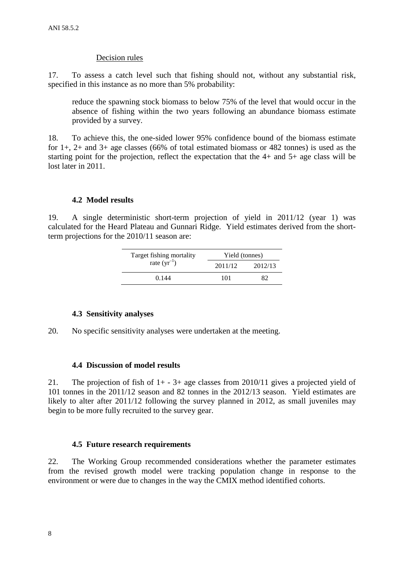### Decision rules

17. To assess a catch level such that fishing should not, without any substantial risk, specified in this instance as no more than 5% probability:

reduce the spawning stock biomass to below 75% of the level that would occur in the absence of fishing within the two years following an abundance biomass estimate provided by a survey.

18. To achieve this, the one-sided lower 95% confidence bound of the biomass estimate for  $1+$ ,  $2+$  and  $3+$  age classes (66% of total estimated biomass or 482 tonnes) is used as the starting point for the projection, reflect the expectation that the 4+ and 5+ age class will be lost later in 2011.

### **4.2 Model results**

19. A single deterministic short-term projection of yield in 2011/12 (year 1) was calculated for the Heard Plateau and Gunnari Ridge. Yield estimates derived from the shortterm projections for the 2010/11 season are:

| Target fishing mortality | Yield (tonnes) |         |  |  |
|--------------------------|----------------|---------|--|--|
| rate $(yr^{-1})$         | 2011/12        | 2012/13 |  |  |
| 0.144                    | 101            | 82      |  |  |

#### **4.3 Sensitivity analyses**

20. No specific sensitivity analyses were undertaken at the meeting.

#### **4.4 Discussion of model results**

21. The projection of fish of  $1+ -3+$  age classes from 2010/11 gives a projected yield of 101 tonnes in the 2011/12 season and 82 tonnes in the 2012/13 season. Yield estimates are likely to alter after 2011/12 following the survey planned in 2012, as small juveniles may begin to be more fully recruited to the survey gear.

#### **4.5 Future research requirements**

22. The Working Group recommended considerations whether the parameter estimates from the revised growth model were tracking population change in response to the environment or were due to changes in the way the CMIX method identified cohorts.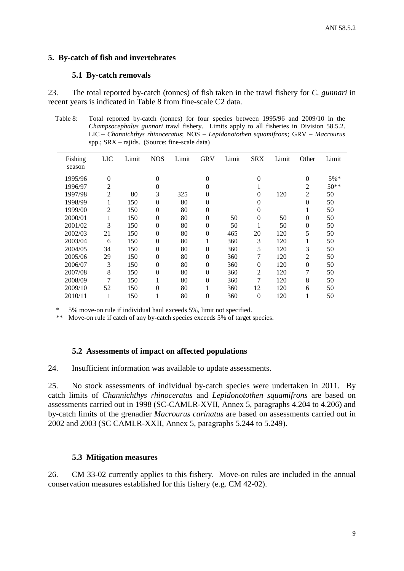### <span id="page-10-0"></span>**5. By-catch of fish and invertebrates**

### **5.1 By-catch removals**

23. The total reported by-catch (tonnes) of fish taken in the trawl fishery for *C. gunnari* in recent years is indicated in Table 8 from fine-scale C2 data.

Table 8: Total reported by-catch (tonnes) for four species between 1995/96 and 2009/10 in the *Champsocephalus gunnari* trawl fishery. Limits apply to all fisheries in Division 58.5.2. LIC – *Channichthys rhinoceratus*; NOS – *Lepidonotothen squamifrons;* GRV – *Macrourus* spp.; SRX – rajids. (Source: fine-scale data)

| Fishing<br>season | <b>LIC</b>     | Limit | <b>NOS</b>     | Limit | <b>GRV</b>     | Limit | <b>SRX</b> | Limit | Other          | Limit  |
|-------------------|----------------|-------|----------------|-------|----------------|-------|------------|-------|----------------|--------|
|                   |                |       |                |       | $\Omega$       |       |            |       |                |        |
| 1995/96           | $\theta$       |       | 0              |       |                |       | $\theta$   |       | $\theta$       | $5\%*$ |
| 1996/97           | 2              |       | 0              |       | $\theta$       |       |            |       | 2              | $50**$ |
| 1997/98           | $\overline{c}$ | 80    | 3              | 325   | $\theta$       |       | 0          | 120   | 2              | 50     |
| 1998/99           |                | 150   | 0              | 80    | $\overline{0}$ |       | 0          |       | $\overline{0}$ | 50     |
| 1999/00           | $\overline{c}$ | 150   | 0              | 80    | $\theta$       |       | 0          |       |                | 50     |
| 2000/01           |                | 150   | 0              | 80    | $\theta$       | 50    | $\theta$   | 50    | $\theta$       | 50     |
| 2001/02           | 3              | 150   | 0              | 80    | $\theta$       | 50    |            | 50    | $\theta$       | 50     |
| 2002/03           | 21             | 150   | $\theta$       | 80    | $\theta$       | 465   | 20         | 120   | 5              | 50     |
| 2003/04           | 6              | 150   | $\theta$       | 80    |                | 360   | 3          | 120   | $\bf{l}$       | 50     |
| 2004/05           | 34             | 150   | $\overline{0}$ | 80    | $\theta$       | 360   | 5          | 120   | 3              | 50     |
| 2005/06           | 29             | 150   | $\theta$       | 80    | $\theta$       | 360   | 7          | 120   | 2              | 50     |
| 2006/07           | 3              | 150   | $\theta$       | 80    | $\theta$       | 360   | $\theta$   | 120   | $\theta$       | 50     |
| 2007/08           | 8              | 150   | $\theta$       | 80    | $\Omega$       | 360   | 2          | 120   | 7              | 50     |
| 2008/09           | 7              | 150   |                | 80    | $\theta$       | 360   | 7          | 120   | 8              | 50     |
| 2009/10           | 52             | 150   | 0              | 80    | 1              | 360   | 12         | 120   | 6              | 50     |
| 2010/11           | 1              | 150   |                | 80    | $\theta$       | 360   | $\theta$   | 120   |                | 50     |

5% move-on rule if individual haul exceeds 5%, limit not specified.

\*\* Move-on rule if catch of any by-catch species exceeds 5% of target species.

#### **5.2 Assessments of impact on affected populations**

24. Insufficient information was available to update assessments.

25. No stock assessments of individual by-catch species were undertaken in 2011. By catch limits of *Channichthys rhinoceratus* and *Lepidonotothen squamifrons* are based on assessments carried out in 1998 (SC-CAMLR-XVII, Annex 5, paragraphs 4.204 to 4.206) and by-catch limits of the grenadier *Macrourus carinatus* are based on assessments carried out in 2002 and 2003 (SC CAMLR-XXII, Annex 5, paragraphs 5.244 to 5.249).

## **5.3 Mitigation measures**

26. CM 33-02 currently applies to this fishery. Move-on rules are included in the annual conservation measures established for this fishery (e.g. CM 42-02).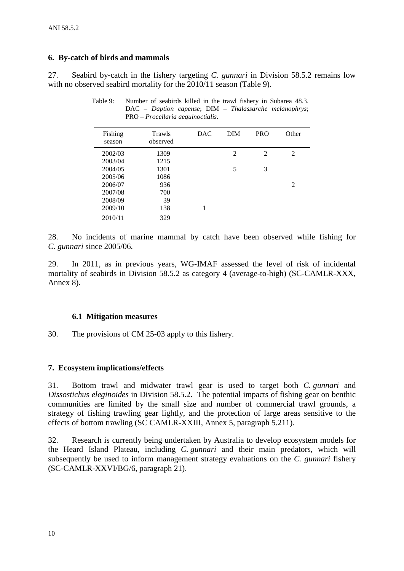### <span id="page-11-0"></span>**6. By-catch of birds and mammals**

27. Seabird by-catch in the fishery targeting *C. gunnari* in Division 58.5.2 remains low with no observed seabird mortality for the 2010/11 season (Table 9).

| Trawls<br>observed | <b>DAC</b> | <b>DIM</b>     | <b>PRO</b>     | Other |
|--------------------|------------|----------------|----------------|-------|
| 1309               |            | $\mathfrak{D}$ | $\mathfrak{D}$ | 2     |
| 1215               |            |                |                |       |
| 1301               |            | 5              | 3              |       |
| 1086               |            |                |                |       |
| 936                |            |                |                | 2     |
| 700                |            |                |                |       |
| 39                 |            |                |                |       |
| 138                | 1          |                |                |       |
| 329                |            |                |                |       |
|                    |            |                |                |       |

Table 9: Number of seabirds killed in the trawl fishery in Subarea 48.3. DAC – *Daption capense*; DIM – *Thalassarche melanophrys*; PRO – *Procellaria aequinoctialis.*

28. No incidents of marine mammal by catch have been observed while fishing for *C. gunnari* since 2005/06.

29. In 2011, as in previous years, WG-IMAF assessed the level of risk of incidental mortality of seabirds in Division 58.5.2 as category 4 (average-to-high) (SC-CAMLR-XXX, Annex 8).

#### **6.1 Mitigation measures**

30. The provisions of CM 25-03 apply to this fishery.

### **7. Ecosystem implications/effects**

31. Bottom trawl and midwater trawl gear is used to target both *C. gunnari* and *Dissostichus eleginoides* in Division 58.5.2. The potential impacts of fishing gear on benthic communities are limited by the small size and number of commercial trawl grounds, a strategy of fishing trawling gear lightly, and the protection of large areas sensitive to the effects of bottom trawling (SC CAMLR-XXIII, Annex 5, paragraph 5.211).

32. Research is currently being undertaken by Australia to develop ecosystem models for the Heard Island Plateau, including *C. gunnari* and their main predators, which will subsequently be used to inform management strategy evaluations on the *C. gunnari* fishery (SC-CAMLR-XXVI/BG/6, paragraph 21).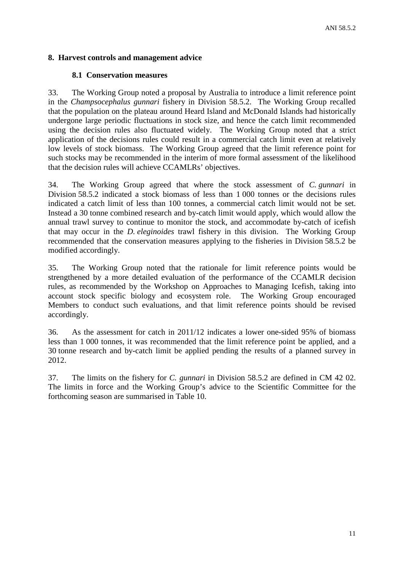### <span id="page-12-0"></span>**8. Harvest controls and management advice**

### **8.1 Conservation measures**

33. The Working Group noted a proposal by Australia to introduce a limit reference point in the *Champsocephalus gunnari* fishery in Division 58.5.2. The Working Group recalled that the population on the plateau around Heard Island and McDonald Islands had historically undergone large periodic fluctuations in stock size, and hence the catch limit recommended using the decision rules also fluctuated widely. The Working Group noted that a strict application of the decisions rules could result in a commercial catch limit even at relatively low levels of stock biomass. The Working Group agreed that the limit reference point for such stocks may be recommended in the interim of more formal assessment of the likelihood that the decision rules will achieve CCAMLRs' objectives.

34. The Working Group agreed that where the stock assessment of *C. gunnari* in Division 58.5.2 indicated a stock biomass of less than 1 000 tonnes or the decisions rules indicated a catch limit of less than 100 tonnes, a commercial catch limit would not be set. Instead a 30 tonne combined research and by-catch limit would apply, which would allow the annual trawl survey to continue to monitor the stock, and accommodate by-catch of icefish that may occur in the *D. eleginoides* trawl fishery in this division. The Working Group recommended that the conservation measures applying to the fisheries in Division 58.5.2 be modified accordingly.

35. The Working Group noted that the rationale for limit reference points would be strengthened by a more detailed evaluation of the performance of the CCAMLR decision rules, as recommended by the Workshop on Approaches to Managing Icefish, taking into account stock specific biology and ecosystem role. The Working Group encouraged Members to conduct such evaluations, and that limit reference points should be revised accordingly.

36. As the assessment for catch in 2011/12 indicates a lower one-sided 95% of biomass less than 1 000 tonnes, it was recommended that the limit reference point be applied, and a 30 tonne research and by-catch limit be applied pending the results of a planned survey in 2012.

37. The limits on the fishery for *C. gunnari* in Division 58.5.2 are defined in CM 42 02. The limits in force and the Working Group's advice to the Scientific Committee for the forthcoming season are summarised in Table 10.